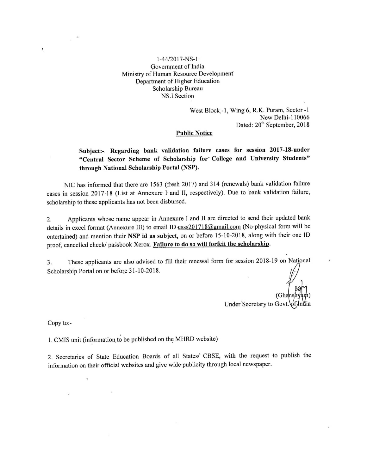#### $1-44/2017-NS-1$ Government of India Ministry of Human Resource Development Department of Higher Education Scholarship Bureau **NS.I** Section

West Block -1, Wing 6, R.K. Puram, Sector -1 New Delhi-110066 Dated: 20<sup>th</sup> September, 2018

#### **Public Notice**

### Subject:- Regarding bank validation failure cases for session 2017-18-under "Central Sector Scheme of Scholarship for College and University Students" through National Scholarship Portal (NSP).

NIC has informed that there are 1563 (fresh 2017) and 314 (renewals) bank validation failure cases in session 2017-18 (List at Annexure I and II, respectively). Due to bank validation failure, scholarship to these applicants has not been disbursed.

Applicants whose name appear in Annexure I and II are directed to send their updated bank 2. details in excel format (Annexure III) to email ID csss201718@gmail.com (No physical form will be entertained) and mention their NSP id as subject, on or before 15-10-2018, along with their one ID proof, cancelled check/ passbook Xerox. Failure to do so will forfeit the scholarship.

These applicants are also advised to fill their renewal form for session 2018-19 on National  $3.$ Scholarship Portal on or before 31-10-2018.

Under Secretary to Govt.

Copy to:-

J

1. CMIS unit (information to be published on the MHRD website)

2. Secretaries of State Education Boards of all States/ CBSE, with the request to publish the information on their official websites and give wide publicity through local newspaper.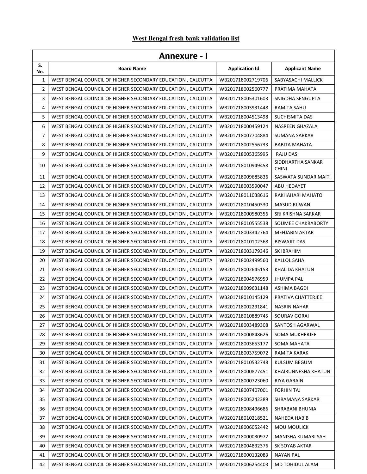## **West Bengal fresh bank validation list**

| Annevure - |  |
|------------|--|
|            |  |

|           | <b>Annexure - I</b>                                         |                       |                                   |  |
|-----------|-------------------------------------------------------------|-----------------------|-----------------------------------|--|
| S.<br>No. | <b>Board Name</b>                                           | <b>Application Id</b> | <b>Applicant Name</b>             |  |
| 1         | WEST BENGAL COUNCIL OF HIGHER SECONDARY EDUCATION, CALCUTTA | WB201718002719706     | SABYASACHI MALLICK                |  |
| 2         | WEST BENGAL COUNCIL OF HIGHER SECONDARY EDUCATION, CALCUTTA | WB201718002560777     | PRATIMA MAHATA                    |  |
| 3         | WEST BENGAL COUNCIL OF HIGHER SECONDARY EDUCATION, CALCUTTA | WB201718005301603     | SNIGDHA SENGUPTA                  |  |
| 4         | WEST BENGAL COUNCIL OF HIGHER SECONDARY EDUCATION, CALCUTTA | WB201718003931448     | RAMITA SAHU                       |  |
| 5         | WEST BENGAL COUNCIL OF HIGHER SECONDARY EDUCATION, CALCUTTA | WB201718004513498     | SUCHISMITA DAS                    |  |
| 6         | WEST BENGAL COUNCIL OF HIGHER SECONDARY EDUCATION, CALCUTTA | WB201718000459124     | NASREEN GHAZALA                   |  |
| 7         | WEST BENGAL COUNCIL OF HIGHER SECONDARY EDUCATION, CALCUTTA | WB201718007704884     | <b>SUMANA SARKAR</b>              |  |
| 8         | WEST BENGAL COUNCIL OF HIGHER SECONDARY EDUCATION, CALCUTTA | WB201718002556733     | <b>BABITA MAHATA</b>              |  |
| 9         | WEST BENGAL COUNCIL OF HIGHER SECONDARY EDUCATION, CALCUTTA | WB201718005365995     | RAJU DAS                          |  |
| 10        | WEST BENGAL COUNCIL OF HIGHER SECONDARY EDUCATION, CALCUTTA | WB201718010949458     | SIDDHARTHA SANKAR<br><b>CHINI</b> |  |
| 11        | WEST BENGAL COUNCIL OF HIGHER SECONDARY EDUCATION, CALCUTTA | WB201718009685836     | SASWATA SUNDAR MAITI              |  |
| 12        | WEST BENGAL COUNCIL OF HIGHER SECONDARY EDUCATION, CALCUTTA | WB201718003590047     | ABU HEDAYET                       |  |
| 13        | WEST BENGAL COUNCIL OF HIGHER SECONDARY EDUCATION, CALCUTTA | WB201718011038616     | RAKHAHARI MAHATO                  |  |
| 14        | WEST BENGAL COUNCIL OF HIGHER SECONDARY EDUCATION, CALCUTTA | WB201718010450330     | <b>MASUD RIJWAN</b>               |  |
| 15        | WEST BENGAL COUNCIL OF HIGHER SECONDARY EDUCATION, CALCUTTA | WB201718000580356     | SRI KRISHNA SARKAR                |  |
| 16        | WEST BENGAL COUNCIL OF HIGHER SECONDARY EDUCATION, CALCUTTA | WB201718010555538     | SOUMEE CHAKRABORTY                |  |
| 17        | WEST BENGAL COUNCIL OF HIGHER SECONDARY EDUCATION, CALCUTTA | WB201718003342764     | <b>MEHJABIN AKTAR</b>             |  |
| 18        | WEST BENGAL COUNCIL OF HIGHER SECONDARY EDUCATION, CALCUTTA | WB201718010102368     | <b>BISWAJIT DAS</b>               |  |
| 19        | WEST BENGAL COUNCIL OF HIGHER SECONDARY EDUCATION, CALCUTTA | WB201718003179346     | SK IBRAHIM                        |  |
| 20        | WEST BENGAL COUNCIL OF HIGHER SECONDARY EDUCATION, CALCUTTA | WB201718002499560     | <b>KALLOL SAHA</b>                |  |
| 21        | WEST BENGAL COUNCIL OF HIGHER SECONDARY EDUCATION, CALCUTTA | WB201718002645153     | KHALIDA KHATUN                    |  |
| 22        | WEST BENGAL COUNCIL OF HIGHER SECONDARY EDUCATION, CALCUTTA | WB201718004576959     | <b>JHUMPA PAL</b>                 |  |
| 23        | WEST BENGAL COUNCIL OF HIGHER SECONDARY EDUCATION, CALCUTTA | WB201718009631148     | <b>ASHIMA BAGDI</b>               |  |
| 24        | WEST BENGAL COUNCIL OF HIGHER SECONDARY EDUCATION, CALCUTTA | WB201718010145129     | PRATIVA CHATTERJEE                |  |
| 25        | WEST BENGAL COUNCIL OF HIGHER SECONDARY EDUCATION, CALCUTTA | WB201718002291841     | <b>NASRIN NAHAR</b>               |  |
| 26        | WEST BENGAL COUNCIL OF HIGHER SECONDARY EDUCATION, CALCUTTA | WB201718010889745     | SOURAV GORAI                      |  |
| 27        | WEST BENGAL COUNCIL OF HIGHER SECONDARY EDUCATION, CALCUTTA | WB201718003489308     | SANTOSH AGARWAL                   |  |
| 28        | WEST BENGAL COUNCIL OF HIGHER SECONDARY EDUCATION, CALCUTTA | WB201718000848626     | <b>SOMA MUKHERJEE</b>             |  |
| 29        | WEST BENGAL COUNCIL OF HIGHER SECONDARY EDUCATION, CALCUTTA | WB201718003653177     | SOMA MAHATA                       |  |
| 30        | WEST BENGAL COUNCIL OF HIGHER SECONDARY EDUCATION, CALCUTTA | WB201718003759072     | RAMITA KARAK                      |  |
| 31        | WEST BENGAL COUNCIL OF HIGHER SECONDARY EDUCATION, CALCUTTA | WB201718010532748     | <b>KULSUM BEGUM</b>               |  |
| 32        | WEST BENGAL COUNCIL OF HIGHER SECONDARY EDUCATION, CALCUTTA | WB201718000877451     | KHAIRUNNESHA KHATUN               |  |
| 33        | WEST BENGAL COUNCIL OF HIGHER SECONDARY EDUCATION, CALCUTTA | WB201718000723060     | RIYA GARAIN                       |  |
| 34        | WEST BENGAL COUNCIL OF HIGHER SECONDARY EDUCATION, CALCUTTA | WB201718007407001     | <b>FORHIN TAJ</b>                 |  |
| 35        | WEST BENGAL COUNCIL OF HIGHER SECONDARY EDUCATION, CALCUTTA | WB201718005242389     | SHRAMANA SARKAR                   |  |
| 36        | WEST BENGAL COUNCIL OF HIGHER SECONDARY EDUCATION, CALCUTTA | WB201718008496686     | SHRABANI BHUNIA                   |  |
| 37        | WEST BENGAL COUNCIL OF HIGHER SECONDARY EDUCATION, CALCUTTA | WB201718010218521     | NAHEDA HABIB                      |  |
| 38        | WEST BENGAL COUNCIL OF HIGHER SECONDARY EDUCATION, CALCUTTA | WB201718006052442     | MOU MOULICK                       |  |
| 39        | WEST BENGAL COUNCIL OF HIGHER SECONDARY EDUCATION, CALCUTTA | WB201718000030972     | MANISHA KUMARI SAH                |  |
| 40        | WEST BENGAL COUNCIL OF HIGHER SECONDARY EDUCATION, CALCUTTA | WB201718004832376     | SK SOYAB AKTAR                    |  |
| 41        | WEST BENGAL COUNCIL OF HIGHER SECONDARY EDUCATION, CALCUTTA | WB201718000132083     | <b>NAYAN PAL</b>                  |  |
| 42        | WEST BENGAL COUNCIL OF HIGHER SECONDARY EDUCATION, CALCUTTA | WB201718006254403     | MD TOHIDUL ALAM                   |  |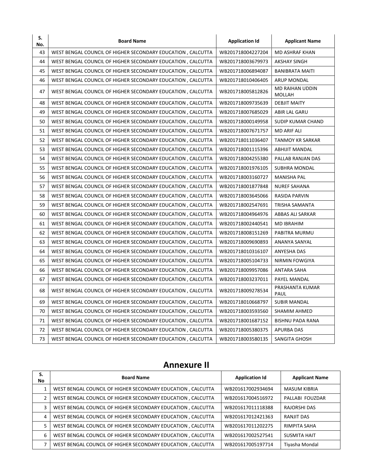| S.<br>No. | <b>Board Name</b>                                                                | <b>Application Id</b> | <b>Applicant Name</b>            |
|-----------|----------------------------------------------------------------------------------|-----------------------|----------------------------------|
| 43        | WEST BENGAL COUNCIL OF HIGHER SECONDARY EDUCATION, CALCUTTA                      | WB201718004227204     | MD ASHRAF KHAN                   |
| 44        | WEST BENGAL COUNCIL OF HIGHER SECONDARY EDUCATION, CALCUTTA                      | WB201718003679973     | <b>AKSHAY SINGH</b>              |
| 45        | WEST BENGAL COUNCIL OF HIGHER SECONDARY EDUCATION, CALCUTTA                      | WB201718006894087     | <b>BANIBRATA MAITI</b>           |
| 46        | WEST BENGAL COUNCIL OF HIGHER SECONDARY EDUCATION, CALCUTTA                      | WB201718010406405     | <b>ARUP MONDAL</b>               |
| 47        | WEST BENGAL COUNCIL OF HIGHER SECONDARY EDUCATION, CALCUTTA                      | WB201718005812826     | MD RAIHAN UDDIN<br><b>MOLLAH</b> |
| 48        | WEST BENGAL COUNCIL OF HIGHER SECONDARY EDUCATION, CALCUTTA                      | WB201718009735639     | <b>DEBJIT MAITY</b>              |
| 49        | WEST BENGAL COUNCIL OF HIGHER SECONDARY EDUCATION, CALCUTTA                      | WB201718007685029     | ABIR LAL GARU                    |
| 50        | WEST BENGAL COUNCIL OF HIGHER SECONDARY EDUCATION, CALCUTTA<br>WB201718000149958 |                       | SUDIP KUMAR CHAND                |
| 51        | WEST BENGAL COUNCIL OF HIGHER SECONDARY EDUCATION, CALCUTTA<br>WB201718007671757 |                       | <b>MD ARIF ALI</b>               |
| 52        | WEST BENGAL COUNCIL OF HIGHER SECONDARY EDUCATION, CALCUTTA                      | WB201718011036407     | <b>TANMOY KR SARKAR</b>          |
| 53        | WEST BENGAL COUNCIL OF HIGHER SECONDARY EDUCATION, CALCUTTA                      | WB201718001115396     | <b>ABHIJIT MANDAL</b>            |
| 54        | WEST BENGAL COUNCIL OF HIGHER SECONDARY EDUCATION, CALCUTTA                      | WB201718004255380     | PALLAB RANJAN DAS                |
| 55        | WEST BENGAL COUNCIL OF HIGHER SECONDARY EDUCATION, CALCUTTA                      | WB201718001976105     | <b>SUBHRA MONDAL</b>             |
| 56        | WEST BENGAL COUNCIL OF HIGHER SECONDARY EDUCATION, CALCUTTA                      | WB201718003160727     | <b>MANISHA PAL</b>               |
| 57        | WEST BENGAL COUNCIL OF HIGHER SECONDARY EDUCATION, CALCUTTA                      | WB201718001877848     | <b>NUREF SAHANA</b>              |
| 58        | WEST BENGAL COUNCIL OF HIGHER SECONDARY EDUCATION, CALCUTTA                      | WB201718003645066     | <b>RASIDA PARVIN</b>             |
| 59        | WEST BENGAL COUNCIL OF HIGHER SECONDARY EDUCATION, CALCUTTA                      | WB201718002547691     | TRISHA SAMANTA                   |
| 60        | WEST BENGAL COUNCIL OF HIGHER SECONDARY EDUCATION, CALCUTTA                      | WB201718004964976     | ABBAS ALI SARKAR                 |
| 61        | WEST BENGAL COUNCIL OF HIGHER SECONDARY EDUCATION, CALCUTTA                      | WB201718002440541     | <b>MD IBRAHIM</b>                |
| 62        | WEST BENGAL COUNCIL OF HIGHER SECONDARY EDUCATION, CALCUTTA                      | WB201718008151269     | PABITRA MURMU                    |
| 63        | WEST BENGAL COUNCIL OF HIGHER SECONDARY EDUCATION, CALCUTTA                      | WB201718009690893     | ANANYA SANYAL                    |
| 64        | WEST BENGAL COUNCIL OF HIGHER SECONDARY EDUCATION, CALCUTTA                      | WB201718010316107     | ANYESHA DAS                      |
| 65        | WEST BENGAL COUNCIL OF HIGHER SECONDARY EDUCATION, CALCUTTA                      | WB201718005104733     | <b>NIRMIN FOWGIYA</b>            |
| 66        | WEST BENGAL COUNCIL OF HIGHER SECONDARY EDUCATION, CALCUTTA                      | WB201718009957086     | <b>ANTARA SAHA</b>               |
| 67        | WEST BENGAL COUNCIL OF HIGHER SECONDARY EDUCATION, CALCUTTA                      | WB201718003237011     | PAYEL MANDAL                     |
| 68        | WEST BENGAL COUNCIL OF HIGHER SECONDARY EDUCATION, CALCUTTA                      | WB201718009278534     | PRASHANTA KUMAR<br>PAUL          |
| 69        | WEST BENGAL COUNCIL OF HIGHER SECONDARY EDUCATION, CALCUTTA                      | WB201718010668797     | <b>SUBIR MANDAL</b>              |
| 70        | WEST BENGAL COUNCIL OF HIGHER SECONDARY EDUCATION, CALCUTTA                      | WB201718003593560     | SHAMIM AHMED                     |
| 71        | WEST BENGAL COUNCIL OF HIGHER SECONDARY EDUCATION, CALCUTTA                      | WB201718001687152     | <b>BISHNU PADA RANA</b>          |
| 72        | WEST BENGAL COUNCIL OF HIGHER SECONDARY EDUCATION, CALCUTTA                      | WB201718005380375     | <b>APURBA DAS</b>                |
| 73        | WEST BENGAL COUNCIL OF HIGHER SECONDARY EDUCATION, CALCUTTA                      | WB201718003580135     | SANGITA GHOSH                    |

# Annexure II

| S.<br>No       | <b>Board Name</b>                                           | <b>Application Id</b> | <b>Applicant Name</b> |
|----------------|-------------------------------------------------------------|-----------------------|-----------------------|
|                | WEST BENGAL COUNCIL OF HIGHER SECONDARY EDUCATION, CALCUTTA | WB201617002934694     | <b>MASUM KIBRIA</b>   |
| $\overline{2}$ | WEST BENGAL COUNCIL OF HIGHER SECONDARY EDUCATION, CALCUTTA | WB201617004516972     | PALLABI FOUZDAR       |
| 3              | WEST BENGAL COUNCIL OF HIGHER SECONDARY EDUCATION, CALCUTTA | WB201617011118388     | RAJORSHI DAS          |
| 4              | WEST BENGAL COUNCIL OF HIGHER SECONDARY EDUCATION, CALCUTTA | WB201617012421363     | RANJIT DAS            |
| 5              | WEST BENGAL COUNCIL OF HIGHER SECONDARY EDUCATION, CALCUTTA | WB201617011202275     | RIMPITA SAHA          |
| 6              | WEST BENGAL COUNCIL OF HIGHER SECONDARY EDUCATION, CALCUTTA | WB201617002527541     | <b>SUSMITA HAIT</b>   |
|                | WEST BENGAL COUNCIL OF HIGHER SECONDARY EDUCATION, CALCUTTA | WB201617005197714     | Tiyasha Mondal        |